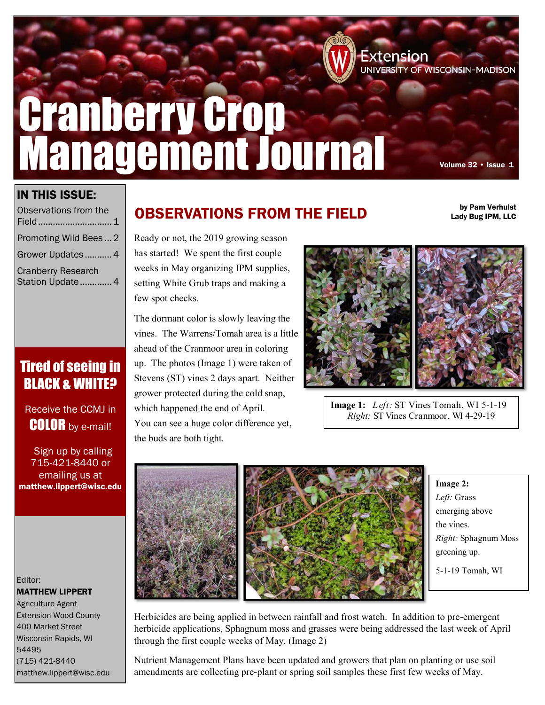# Cranberry Crop Management Journal

Extension<br>UNIVERSITY OF WISCONSIN–MADISON

by Pam Verhulst Lady Bug IPM, LLC

### IN THIS ISSUE:

| Observations from the<br>Field                 |  |
|------------------------------------------------|--|
| Promoting Wild Bees2                           |  |
| Grower Updates  4                              |  |
| <b>Cranberry Research</b><br>Station Update  4 |  |

# Tired of seeing in **BLACK & WHITE?**

Receive the CCMJ in **COLOR** by e-mail!

 Sign up by calling 715-421-8440 or emailing us at matthew.lippert@wisc.edu

Editor: MATTHEW LIPPERT Agriculture Agent

Extension Wood County 400 Market Street Wisconsin Rapids, WI 54495 (715) 421-8440 matthew.lippert@wisc.edu

# OBSERVATIONS FROM THE FIELD

Ready or not, the 2019 growing season has started! We spent the first couple weeks in May organizing IPM supplies, setting White Grub traps and making a few spot checks.

The dormant color is slowly leaving the vines. The Warrens/Tomah area is a little ahead of the Cranmoor area in coloring up. The photos (Image 1) were taken of Stevens (ST) vines 2 days apart. Neither grower protected during the cold snap, which happened the end of April. You can see a huge color difference yet, the buds are both tight.



**Image 1:** *Left:* ST Vines Tomah, WI 5-1-19 *Right:* ST Vines Cranmoor, WI 4-29-19



**Image 2:**  *Left:* Grass emerging above the vines. *Right:* Sphagnum Moss greening up. 5-1-19 Tomah, WI

Herbicides are being applied in between rainfall and frost watch. In addition to pre-emergent herbicide applications, Sphagnum moss and grasses were being addressed the last week of April through the first couple weeks of May. (Image 2)

Nutrient Management Plans have been updated and growers that plan on planting or use soil amendments are collecting pre-plant or spring soil samples these first few weeks of May.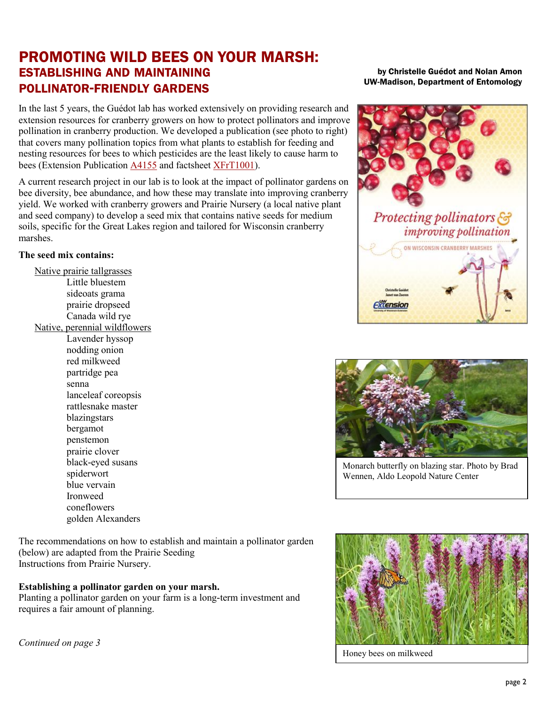## PROMOTING WILD BEES ON YOUR MARSH: ESTABLISHING AND MAINTAINING POLLINATOR-FRIENDLY GARDENS

In the last 5 years, the Guédot lab has worked extensively on providing research and extension resources for cranberry growers on how to protect pollinators and improve pollination in cranberry production. We developed a publication (see photo to right) that covers many pollination topics from what plants to establish for feeding and nesting resources for bees to which pesticides are the least likely to cause harm to bees (Extension Publication [A4155](https://learningstore.uwex.edu/Assets/pdfs/A4155.pdf) and factsheet [XFrT1001\).](https://fruit.wisc.edu/wp-content/uploads/sites/36/2018/02/Improving_Cranberry_Pollination.pdf)

A current research project in our lab is to look at the impact of pollinator gardens on bee diversity, bee abundance, and how these may translate into improving cranberry yield. We worked with cranberry growers and Prairie Nursery (a local native plant and seed company) to develop a seed mix that contains native seeds for medium soils, specific for the Great Lakes region and tailored for Wisconsin cranberry marshes.

### **The seed mix contains:**

Native prairie tallgrasses Little bluestem sideoats grama prairie dropseed Canada wild rye

Native, perennial wildflowers

Lavender hyssop nodding onion red milkweed partridge pea senna lanceleaf coreopsis rattlesnake master blazingstars bergamot penstemon prairie clover black-eyed susans spiderwort blue vervain Ironweed coneflowers golden Alexanders

The recommendations on how to establish and maintain a pollinator garden (below) are adapted from the Prairie Seeding Instructions from Prairie Nursery.

### **Establishing a pollinator garden on your marsh.**

Planting a pollinator garden on your farm is a long-term investment and requires a fair amount of planning.

*Continued on page 3*

by Christelle Guédot and Nolan Amon UW-Madison, Department of Entomology





Monarch butterfly on blazing star. Photo by Brad Wennen, Aldo Leopold Nature Center



Honey bees on milkweed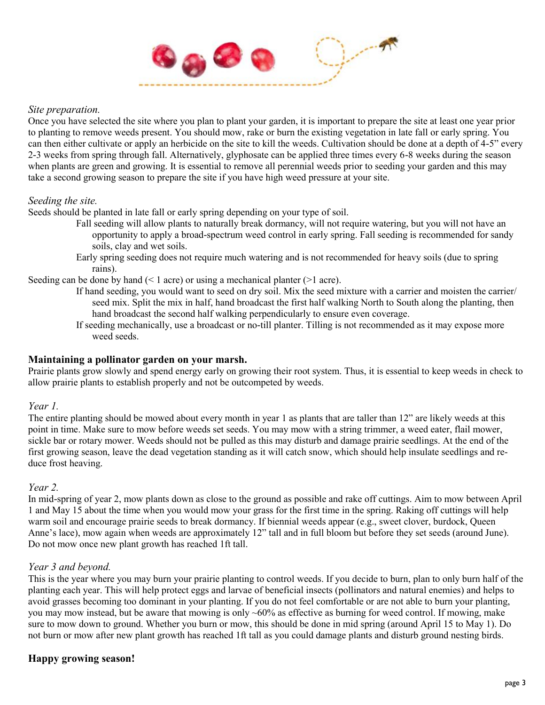

### *Site preparation.*

Once you have selected the site where you plan to plant your garden, it is important to prepare the site at least one year prior to planting to remove weeds present. You should mow, rake or burn the existing vegetation in late fall or early spring. You can then either cultivate or apply an herbicide on the site to kill the weeds. Cultivation should be done at a depth of 4-5" every 2-3 weeks from spring through fall. Alternatively, glyphosate can be applied three times every 6-8 weeks during the season when plants are green and growing. It is essential to remove all perennial weeds prior to seeding your garden and this may take a second growing season to prepare the site if you have high weed pressure at your site.

### *Seeding the site.*

Seeds should be planted in late fall or early spring depending on your type of soil.

- Fall seeding will allow plants to naturally break dormancy, will not require watering, but you will not have an opportunity to apply a broad-spectrum weed control in early spring. Fall seeding is recommended for sandy soils, clay and wet soils.
- Early spring seeding does not require much watering and is not recommended for heavy soils (due to spring rains).

Seeding can be done by hand  $($   $\leq$  1 acre) or using a mechanical planter  $($   $\geq$  1 acre).

- If hand seeding, you would want to seed on dry soil. Mix the seed mixture with a carrier and moisten the carrier/ seed mix. Split the mix in half, hand broadcast the first half walking North to South along the planting, then hand broadcast the second half walking perpendicularly to ensure even coverage.
- If seeding mechanically, use a broadcast or no-till planter. Tilling is not recommended as it may expose more weed seeds.

### **Maintaining a pollinator garden on your marsh.**

Prairie plants grow slowly and spend energy early on growing their root system. Thus, it is essential to keep weeds in check to allow prairie plants to establish properly and not be outcompeted by weeds.

### *Year 1.*

The entire planting should be mowed about every month in year 1 as plants that are taller than 12" are likely weeds at this point in time. Make sure to mow before weeds set seeds. You may mow with a string trimmer, a weed eater, flail mower, sickle bar or rotary mower. Weeds should not be pulled as this may disturb and damage prairie seedlings. At the end of the first growing season, leave the dead vegetation standing as it will catch snow, which should help insulate seedlings and reduce frost heaving.

### *Year 2.*

In mid-spring of year 2, mow plants down as close to the ground as possible and rake off cuttings. Aim to mow between April 1 and May 15 about the time when you would mow your grass for the first time in the spring. Raking off cuttings will help warm soil and encourage prairie seeds to break dormancy. If biennial weeds appear (e.g., sweet clover, burdock, Queen Anne's lace), mow again when weeds are approximately 12" tall and in full bloom but before they set seeds (around June). Do not mow once new plant growth has reached 1ft tall.

### *Year 3 and beyond.*

This is the year where you may burn your prairie planting to control weeds. If you decide to burn, plan to only burn half of the planting each year. This will help protect eggs and larvae of beneficial insects (pollinators and natural enemies) and helps to avoid grasses becoming too dominant in your planting. If you do not feel comfortable or are not able to burn your planting, you may mow instead, but be aware that mowing is only  $~60\%$  as effective as burning for weed control. If mowing, make sure to mow down to ground. Whether you burn or mow, this should be done in mid spring (around April 15 to May 1). Do not burn or mow after new plant growth has reached 1ft tall as you could damage plants and disturb ground nesting birds.

### **Happy growing season!**